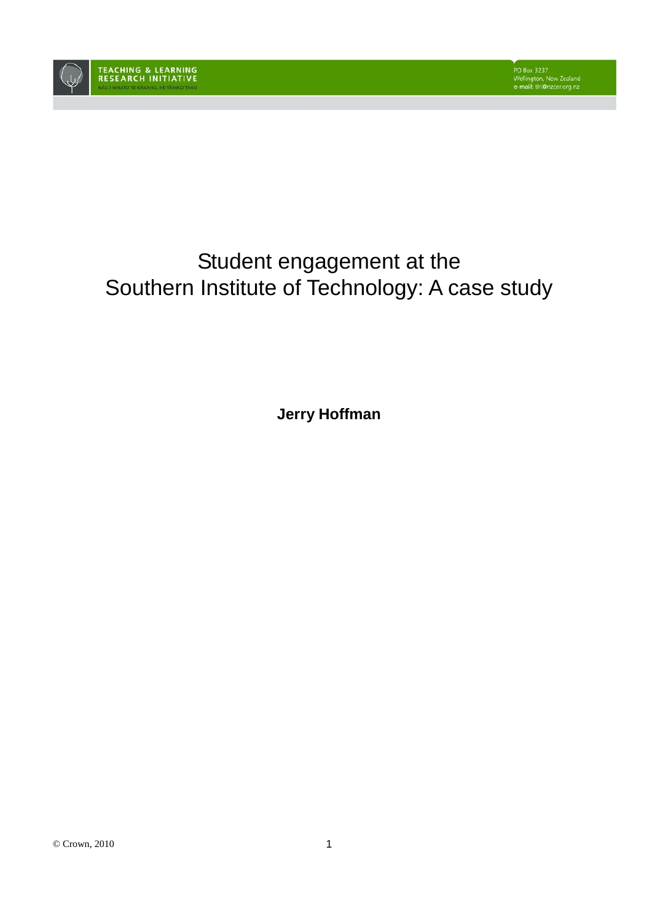

# Student engagement at the Southern Institute of Technology: A case study

**Jerry Hoffman**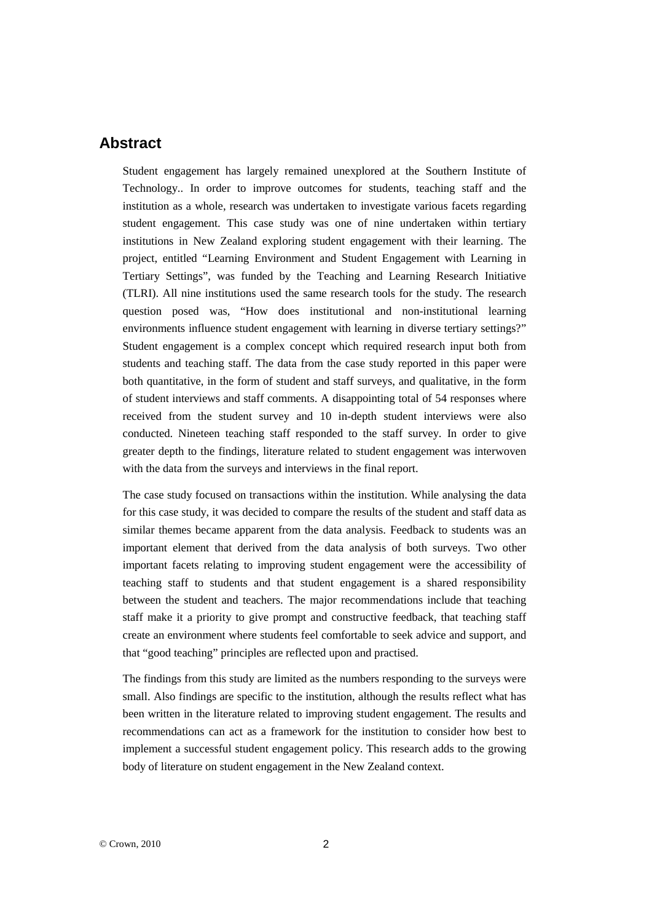## **Abstract**

Student engagement has largely remained unexplored at the Southern Institute of Technology.. In order to improve outcomes for students, teaching staff and the institution as a whole, research was undertaken to investigate various facets regarding student engagement. This case study was one of nine undertaken within tertiary institutions in New Zealand exploring student engagement with their learning. The project, entitled "Learning Environment and Student Engagement with Learning in Tertiary Settings", was funded by the Teaching and Learning Research Initiative (TLRI). All nine institutions used the same research tools for the study. The research question posed was, "How does institutional and non-institutional learning environments influence student engagement with learning in diverse tertiary settings?" Student engagement is a complex concept which required research input both from students and teaching staff. The data from the case study reported in this paper were both quantitative, in the form of student and staff surveys, and qualitative, in the form of student interviews and staff comments. A disappointing total of 54 responses where received from the student survey and 10 in-depth student interviews were also conducted. Nineteen teaching staff responded to the staff survey. In order to give greater depth to the findings, literature related to student engagement was interwoven with the data from the surveys and interviews in the final report.

The case study focused on transactions within the institution. While analysing the data for this case study, it was decided to compare the results of the student and staff data as similar themes became apparent from the data analysis. Feedback to students was an important element that derived from the data analysis of both surveys. Two other important facets relating to improving student engagement were the accessibility of teaching staff to students and that student engagement is a shared responsibility between the student and teachers. The major recommendations include that teaching staff make it a priority to give prompt and constructive feedback, that teaching staff create an environment where students feel comfortable to seek advice and support, and that "good teaching" principles are reflected upon and practised.

The findings from this study are limited as the numbers responding to the surveys were small. Also findings are specific to the institution, although the results reflect what has been written in the literature related to improving student engagement. The results and recommendations can act as a framework for the institution to consider how best to implement a successful student engagement policy. This research adds to the growing body of literature on student engagement in the New Zealand context.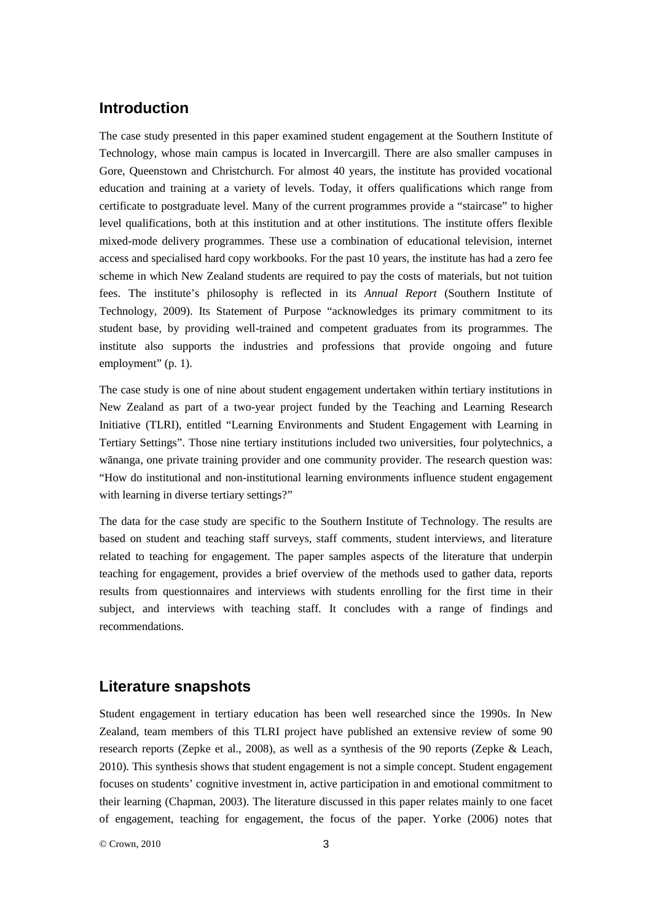## **Introduction**

The case study presented in this paper examined student engagement at the Southern Institute of Technology, whose main campus is located in Invercargill. There are also smaller campuses in Gore, Queenstown and Christchurch. For almost 40 years, the institute has provided vocational education and training at a variety of levels. Today, it offers qualifications which range from certificate to postgraduate level. Many of the current programmes provide a "staircase" to higher level qualifications, both at this institution and at other institutions. The institute offers flexible mixed-mode delivery programmes. These use a combination of educational television, internet access and specialised hard copy workbooks. For the past 10 years, the institute has had a zero fee scheme in which New Zealand students are required to pay the costs of materials, but not tuition fees. The institute's philosophy is reflected in its *Annual Report* (Southern Institute of Technology, 2009). Its Statement of Purpose "acknowledges its primary commitment to its student base, by providing well-trained and competent graduates from its programmes. The institute also supports the industries and professions that provide ongoing and future employment" (p. 1).

The case study is one of nine about student engagement undertaken within tertiary institutions in New Zealand as part of a two-year project funded by the Teaching and Learning Research Initiative (TLRI), entitled "Learning Environments and Student Engagement with Learning in Tertiary Settings". Those nine tertiary institutions included two universities, four polytechnics, a wānanga, one private training provider and one community provider. The research question was: "How do institutional and non-institutional learning environments influence student engagement with learning in diverse tertiary settings?"

The data for the case study are specific to the Southern Institute of Technology. The results are based on student and teaching staff surveys, staff comments, student interviews, and literature related to teaching for engagement. The paper samples aspects of the literature that underpin teaching for engagement, provides a brief overview of the methods used to gather data, reports results from questionnaires and interviews with students enrolling for the first time in their subject, and interviews with teaching staff. It concludes with a range of findings and recommendations.

#### **Literature snapshots**

Student engagement in tertiary education has been well researched since the 1990s. In New Zealand, team members of this TLRI project have published an extensive review of some 90 research reports (Zepke et al., 2008), as well as a synthesis of the 90 reports (Zepke & Leach, 2010). This synthesis shows that student engagement is not a simple concept. Student engagement focuses on students' cognitive investment in, active participation in and emotional commitment to their learning (Chapman, 2003). The literature discussed in this paper relates mainly to one facet of engagement, teaching for engagement, the focus of the paper. Yorke (2006) notes that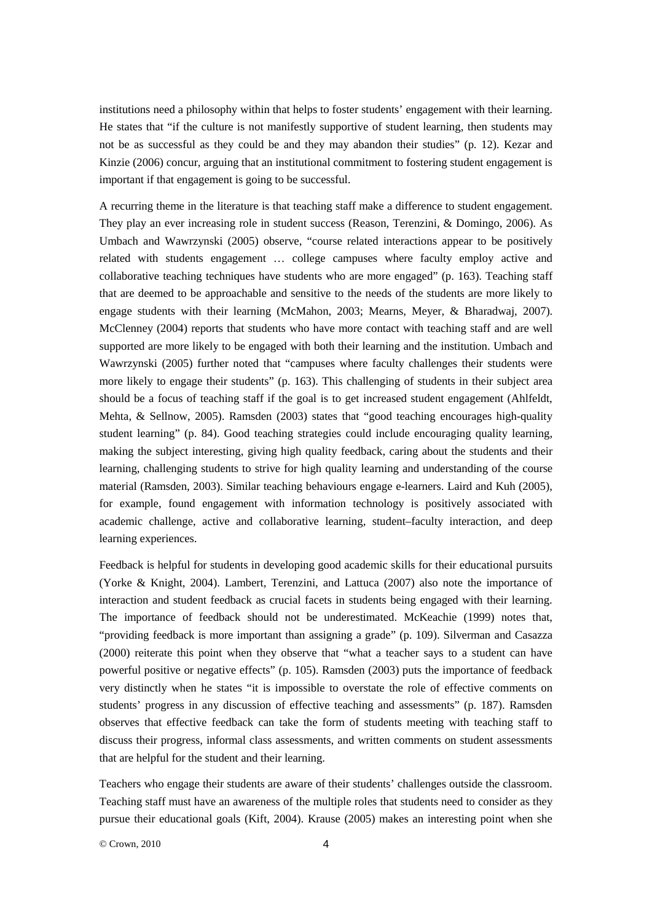institutions need a philosophy within that helps to foster students' engagement with their learning. He states that "if the culture is not manifestly supportive of student learning, then students may not be as successful as they could be and they may abandon their studies" (p. 12). Kezar and Kinzie (2006) concur, arguing that an institutional commitment to fostering student engagement is important if that engagement is going to be successful.

A recurring theme in the literature is that teaching staff make a difference to student engagement. They play an ever increasing role in student success (Reason, Terenzini, & Domingo, 2006). As Umbach and Wawrzynski (2005) observe, "course related interactions appear to be positively related with students engagement … college campuses where faculty employ active and collaborative teaching techniques have students who are more engaged" (p. 163). Teaching staff that are deemed to be approachable and sensitive to the needs of the students are more likely to engage students with their learning (McMahon, 2003; Mearns, Meyer, & Bharadwaj, 2007). McClenney (2004) reports that students who have more contact with teaching staff and are well supported are more likely to be engaged with both their learning and the institution. Umbach and Wawrzynski (2005) further noted that "campuses where faculty challenges their students were more likely to engage their students" (p. 163). This challenging of students in their subject area should be a focus of teaching staff if the goal is to get increased student engagement (Ahlfeldt, Mehta, & Sellnow, 2005). Ramsden (2003) states that "good teaching encourages high-quality student learning" (p. 84). Good teaching strategies could include encouraging quality learning, making the subject interesting, giving high quality feedback, caring about the students and their learning, challenging students to strive for high quality learning and understanding of the course material (Ramsden, 2003). Similar teaching behaviours engage e-learners. Laird and Kuh (2005), for example, found engagement with information technology is positively associated with academic challenge, active and collaborative learning, student–faculty interaction, and deep learning experiences.

Feedback is helpful for students in developing good academic skills for their educational pursuits (Yorke & Knight, 2004). Lambert, Terenzini, and Lattuca (2007) also note the importance of interaction and student feedback as crucial facets in students being engaged with their learning. The importance of feedback should not be underestimated. McKeachie (1999) notes that, "providing feedback is more important than assigning a grade" (p. 109). Silverman and Casazza (2000) reiterate this point when they observe that "what a teacher says to a student can have powerful positive or negative effects" (p. 105). Ramsden (2003) puts the importance of feedback very distinctly when he states "it is impossible to overstate the role of effective comments on students' progress in any discussion of effective teaching and assessments" (p. 187). Ramsden observes that effective feedback can take the form of students meeting with teaching staff to discuss their progress, informal class assessments, and written comments on student assessments that are helpful for the student and their learning.

Teachers who engage their students are aware of their students' challenges outside the classroom. Teaching staff must have an awareness of the multiple roles that students need to consider as they pursue their educational goals (Kift, 2004). Krause (2005) makes an interesting point when she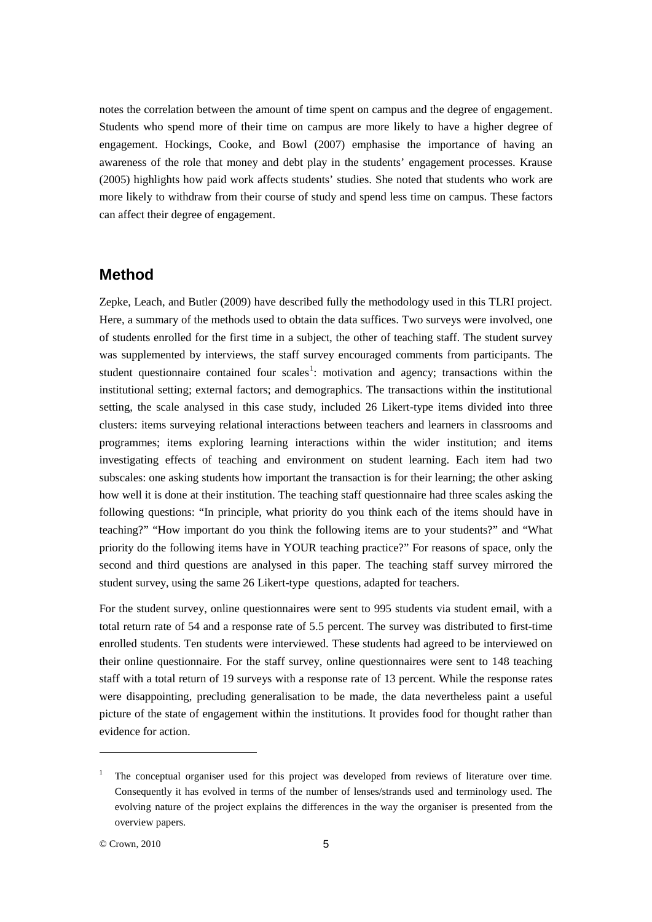notes the correlation between the amount of time spent on campus and the degree of engagement. Students who spend more of their time on campus are more likely to have a higher degree of engagement. Hockings, Cooke, and Bowl (2007) emphasise the importance of having an awareness of the role that money and debt play in the students' engagement processes. Krause (2005) highlights how paid work affects students' studies. She noted that students who work are more likely to withdraw from their course of study and spend less time on campus. These factors can affect their degree of engagement.

## **Method**

Zepke, Leach, and Butler (2009) have described fully the methodology used in this TLRI project. Here, a summary of the methods used to obtain the data suffices. Two surveys were involved, one of students enrolled for the first time in a subject, the other of teaching staff. The student survey was supplemented by interviews, the staff survey encouraged comments from participants. The student questionnaire contained four scales<sup>[1](#page-4-0)</sup>: motivation and agency; transactions within the institutional setting; external factors; and demographics. The transactions within the institutional setting, the scale analysed in this case study, included 26 Likert-type items divided into three clusters: items surveying relational interactions between teachers and learners in classrooms and programmes; items exploring learning interactions within the wider institution; and items investigating effects of teaching and environment on student learning. Each item had two subscales: one asking students how important the transaction is for their learning; the other asking how well it is done at their institution. The teaching staff questionnaire had three scales asking the following questions: "In principle, what priority do you think each of the items should have in teaching?" "How important do you think the following items are to your students?" and "What priority do the following items have in YOUR teaching practice?" For reasons of space, only the second and third questions are analysed in this paper. The teaching staff survey mirrored the student survey, using the same 26 Likert-type questions, adapted for teachers.

For the student survey, online questionnaires were sent to 995 students via student email, with a total return rate of 54 and a response rate of 5.5 percent. The survey was distributed to first-time enrolled students. Ten students were interviewed. These students had agreed to be interviewed on their online questionnaire. For the staff survey, online questionnaires were sent to 148 teaching staff with a total return of 19 surveys with a response rate of 13 percent. While the response rates were disappointing, precluding generalisation to be made, the data nevertheless paint a useful picture of the state of engagement within the institutions. It provides food for thought rather than evidence for action.

-

<span id="page-4-0"></span><sup>1</sup> The conceptual organiser used for this project was developed from reviews of literature over time. Consequently it has evolved in terms of the number of lenses/strands used and terminology used. The evolving nature of the project explains the differences in the way the organiser is presented from the overview papers.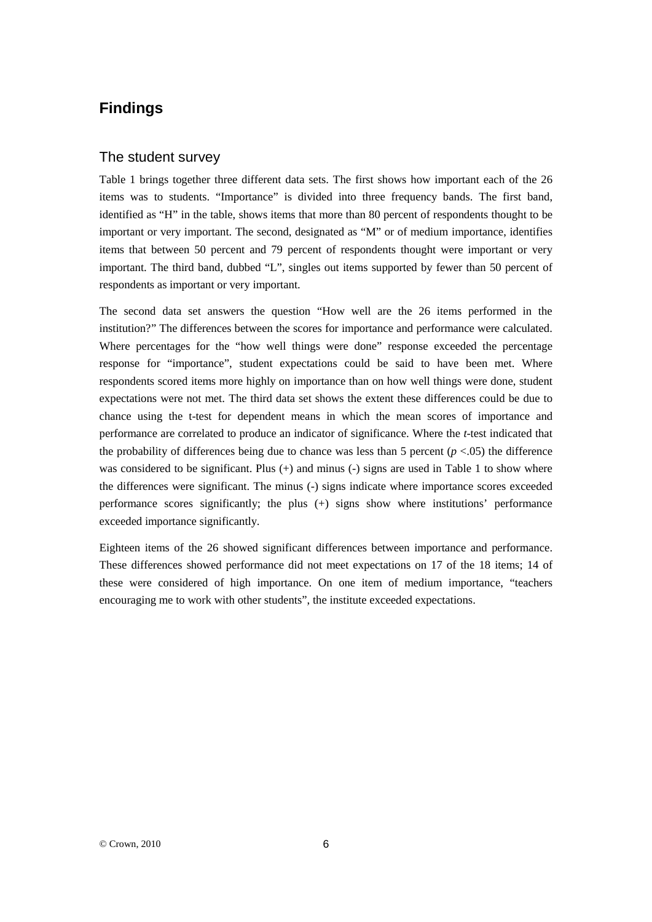## **Findings**

#### The student survey

Table 1 brings together three different data sets. The first shows how important each of the 26 items was to students. "Importance" is divided into three frequency bands. The first band, identified as "H" in the table, shows items that more than 80 percent of respondents thought to be important or very important. The second, designated as "M" or of medium importance, identifies items that between 50 percent and 79 percent of respondents thought were important or very important. The third band, dubbed "L", singles out items supported by fewer than 50 percent of respondents as important or very important.

The second data set answers the question "How well are the 26 items performed in the institution?" The differences between the scores for importance and performance were calculated. Where percentages for the "how well things were done" response exceeded the percentage response for "importance", student expectations could be said to have been met. Where respondents scored items more highly on importance than on how well things were done, student expectations were not met. The third data set shows the extent these differences could be due to chance using the t-test for dependent means in which the mean scores of importance and performance are correlated to produce an indicator of significance. Where the *t*-test indicated that the probability of differences being due to chance was less than 5 percent  $(p < .05)$  the difference was considered to be significant. Plus (+) and minus (-) signs are used in Table 1 to show where the differences were significant. The minus (-) signs indicate where importance scores exceeded performance scores significantly; the plus (+) signs show where institutions' performance exceeded importance significantly.

Eighteen items of the 26 showed significant differences between importance and performance. These differences showed performance did not meet expectations on 17 of the 18 items; 14 of these were considered of high importance. On one item of medium importance, "teachers encouraging me to work with other students", the institute exceeded expectations.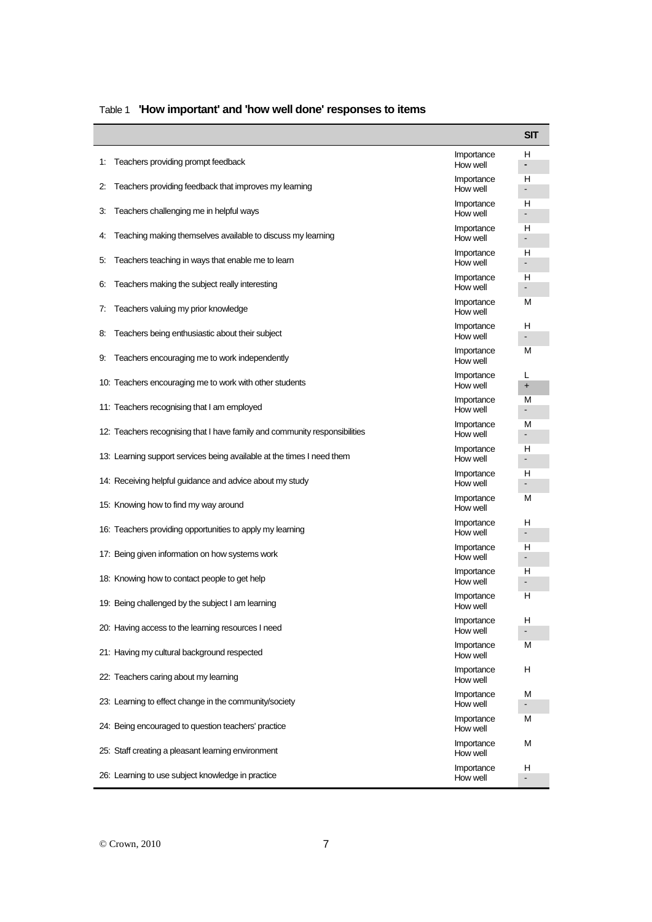|    |                                                                                             |                        | <b>SIT</b>                    |
|----|---------------------------------------------------------------------------------------------|------------------------|-------------------------------|
| 1: | Teachers providing prompt feedback<br>Teachers providing feedback that improves my learning | Importance<br>How well | н<br>$\overline{\phantom{0}}$ |
|    |                                                                                             |                        |                               |
| 2: |                                                                                             | Importance<br>How well | н<br>$\overline{\phantom{0}}$ |
|    |                                                                                             | Importance             | н                             |
| З. | Teachers challenging me in helpful ways                                                     | How well               | $\overline{\phantom{0}}$      |
|    |                                                                                             | Importance             | н                             |
| 4: | Teaching making themselves available to discuss my learning                                 | How well               | ÷.                            |
|    |                                                                                             | Importance<br>How well | н                             |
| 5. | Teachers teaching in ways that enable me to learn                                           |                        | $\blacksquare$                |
| 6. | Teachers making the subject really interesting                                              | Importance<br>How well | н                             |
|    |                                                                                             |                        | $\overline{\phantom{a}}$      |
| 7: | Teachers valuing my prior knowledge                                                         | Importance<br>How well | м                             |
|    | Teachers being enthusiastic about their subject                                             | Importance             | н                             |
| 8. |                                                                                             | How well               | $\blacksquare$                |
| 9. | Teachers encouraging me to work independently                                               | Importance<br>How well | М                             |
|    | 10: Teachers encouraging me to work with other students                                     | Importance             | L                             |
|    |                                                                                             | How well               | $\ddot{}$                     |
|    | 11. Teachers recognising that I am employed                                                 | Importance             | М                             |
|    |                                                                                             | How well               | $\blacksquare$                |
|    | 12: Teachers recognising that I have family and community responsibilities                  | Importance<br>How well | М<br>$\overline{\phantom{a}}$ |
|    |                                                                                             |                        |                               |
|    | 13: Learning support services being available at the times I need them                      | Importance<br>How well | н<br>$\blacksquare$           |
|    |                                                                                             | Importance<br>How well | н                             |
|    | 14: Receiving helpful guidance and advice about my study                                    |                        | $\overline{\phantom{a}}$      |
|    | 15: Knowing how to find my way around                                                       | Importance<br>How well | М                             |
|    | 16: Teachers providing opportunities to apply my learning                                   | Importance             | н                             |
|    |                                                                                             | How well               | $\overline{\phantom{a}}$      |
|    | 17: Being given information on how systems work                                             | Importance             | н                             |
|    |                                                                                             | How well               | $\overline{\phantom{a}}$      |
|    | 18: Knowing how to contact people to get help                                               | Importance             | н                             |
|    |                                                                                             | How well               | $\blacksquare$                |
|    | 19: Being challenged by the subject I am learning                                           | Importance<br>How well | н                             |
|    | 20: Having access to the learning resources I need                                          | Importance<br>How well | н                             |
|    |                                                                                             |                        | $\overline{\phantom{a}}$      |
|    | 21: Having my cultural background respected                                                 | Importance<br>How well | м                             |
|    |                                                                                             | Importance             | н                             |
|    | 22: Teachers caring about my learning                                                       | How well               |                               |
|    |                                                                                             | Importance             | М                             |
|    | 23. Learning to effect change in the community/society                                      | How well               | $\blacksquare$                |
|    | 24: Being encouraged to question teachers' practice                                         | Importance<br>How well | М                             |
|    | 25: Staff creating a pleasant learning environment                                          | Importance             | М                             |
|    |                                                                                             | How well               |                               |
|    | 26: Learning to use subject knowledge in practice                                           | Importance<br>How well | н<br>$\overline{\phantom{0}}$ |

## Table 1 **'How important' and 'how well done' responses to items**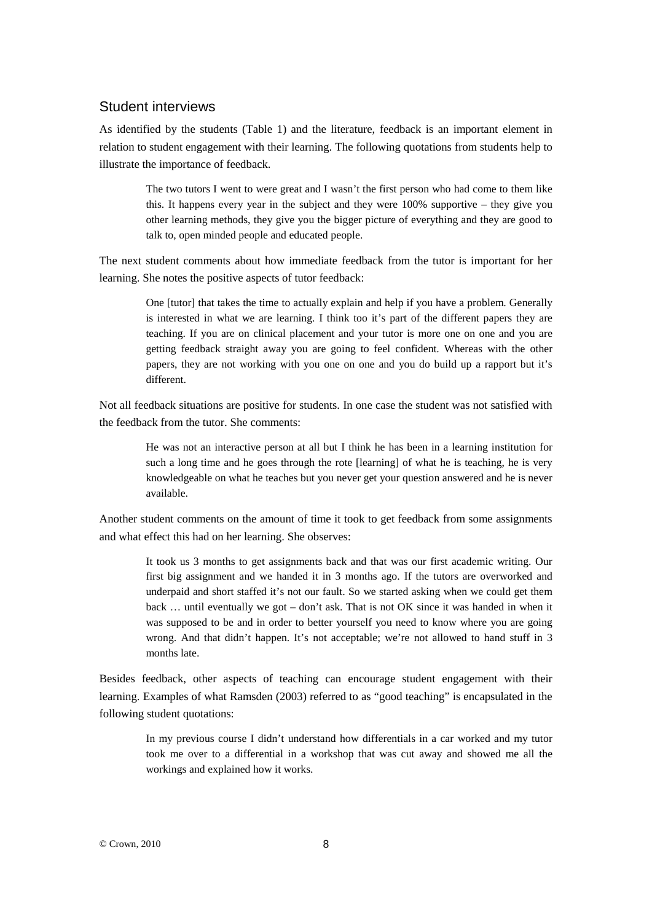#### Student interviews

As identified by the students (Table 1) and the literature, feedback is an important element in relation to student engagement with their learning. The following quotations from students help to illustrate the importance of feedback.

> The two tutors I went to were great and I wasn't the first person who had come to them like this. It happens every year in the subject and they were 100% supportive – they give you other learning methods, they give you the bigger picture of everything and they are good to talk to, open minded people and educated people.

The next student comments about how immediate feedback from the tutor is important for her learning. She notes the positive aspects of tutor feedback:

> One [tutor] that takes the time to actually explain and help if you have a problem. Generally is interested in what we are learning. I think too it's part of the different papers they are teaching. If you are on clinical placement and your tutor is more one on one and you are getting feedback straight away you are going to feel confident. Whereas with the other papers, they are not working with you one on one and you do build up a rapport but it's different.

Not all feedback situations are positive for students. In one case the student was not satisfied with the feedback from the tutor. She comments:

> He was not an interactive person at all but I think he has been in a learning institution for such a long time and he goes through the rote [learning] of what he is teaching, he is very knowledgeable on what he teaches but you never get your question answered and he is never available.

Another student comments on the amount of time it took to get feedback from some assignments and what effect this had on her learning. She observes:

> It took us 3 months to get assignments back and that was our first academic writing. Our first big assignment and we handed it in 3 months ago. If the tutors are overworked and underpaid and short staffed it's not our fault. So we started asking when we could get them back … until eventually we got – don't ask. That is not OK since it was handed in when it was supposed to be and in order to better yourself you need to know where you are going wrong. And that didn't happen. It's not acceptable; we're not allowed to hand stuff in 3 months late.

Besides feedback, other aspects of teaching can encourage student engagement with their learning. Examples of what Ramsden (2003) referred to as "good teaching" is encapsulated in the following student quotations:

> In my previous course I didn't understand how differentials in a car worked and my tutor took me over to a differential in a workshop that was cut away and showed me all the workings and explained how it works.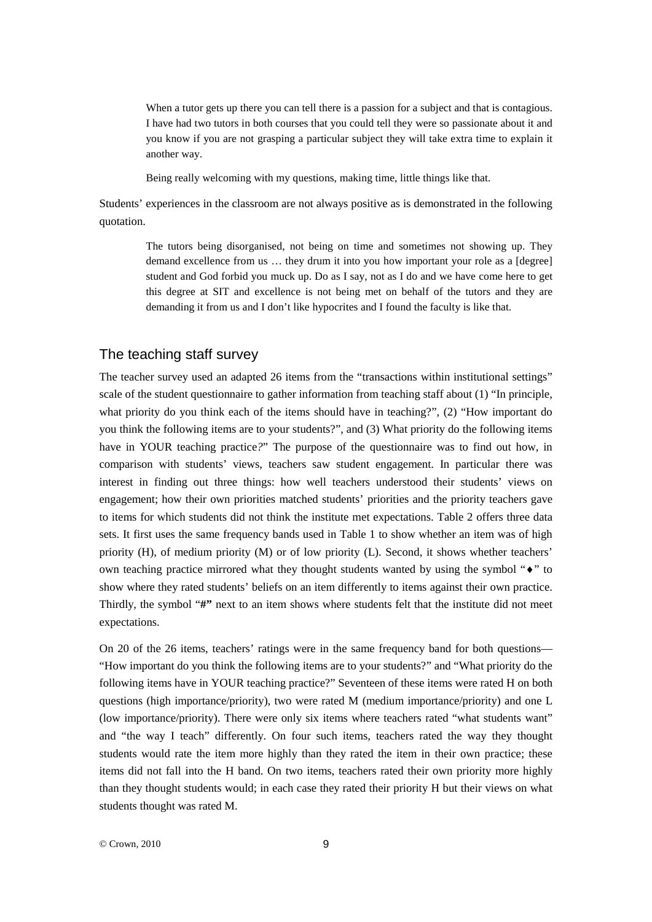When a tutor gets up there you can tell there is a passion for a subject and that is contagious. I have had two tutors in both courses that you could tell they were so passionate about it and you know if you are not grasping a particular subject they will take extra time to explain it another way.

Being really welcoming with my questions, making time, little things like that.

Students' experiences in the classroom are not always positive as is demonstrated in the following quotation.

> The tutors being disorganised, not being on time and sometimes not showing up. They demand excellence from us ... they drum it into you how important your role as a [degree] student and God forbid you muck up. Do as I say, not as I do and we have come here to get this degree at SIT and excellence is not being met on behalf of the tutors and they are demanding it from us and I don't like hypocrites and I found the faculty is like that.

#### The teaching staff survey

The teacher survey used an adapted 26 items from the "transactions within institutional settings" scale of the student questionnaire to gather information from teaching staff about (1) "In principle, what priority do you think each of the items should have in teaching?", (2) "How important do you think the following items are to your students?", and (3) What priority do the following items have in YOUR teaching practice*?*" The purpose of the questionnaire was to find out how, in comparison with students' views, teachers saw student engagement. In particular there was interest in finding out three things: how well teachers understood their students' views on engagement; how their own priorities matched students' priorities and the priority teachers gave to items for which students did not think the institute met expectations. Table 2 offers three data sets. It first uses the same frequency bands used in Table 1 to show whether an item was of high priority (H), of medium priority (M) or of low priority (L). Second, it shows whether teachers' own teaching practice mirrored what they thought students wanted by using the symbol "♦" to show where they rated students' beliefs on an item differently to items against their own practice. Thirdly, the symbol "#" next to an item shows where students felt that the institute did not meet expectations.

On 20 of the 26 items, teachers' ratings were in the same frequency band for both questions— "How important do you think the following items are to your students?" and "What priority do the following items have in YOUR teaching practice?" Seventeen of these items were rated H on both questions (high importance/priority), two were rated M (medium importance/priority) and one L (low importance/priority). There were only six items where teachers rated "what students want" and "the way I teach" differently. On four such items, teachers rated the way they thought students would rate the item more highly than they rated the item in their own practice; these items did not fall into the H band. On two items, teachers rated their own priority more highly than they thought students would; in each case they rated their priority H but their views on what students thought was rated M.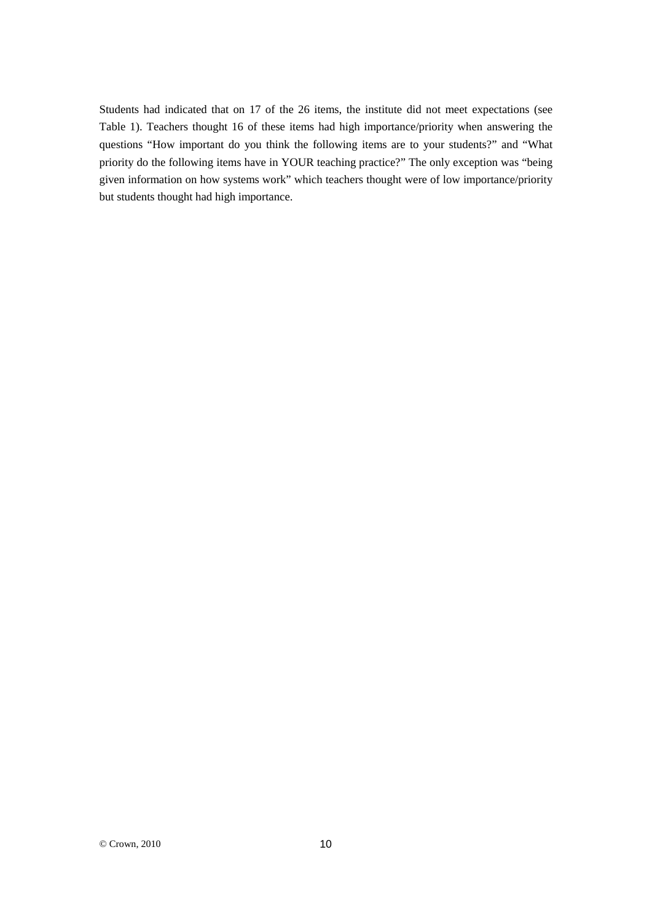Students had indicated that on 17 of the 26 items, the institute did not meet expectations (see Table 1). Teachers thought 16 of these items had high importance/priority when answering the questions "How important do you think the following items are to your students?" and "What priority do the following items have in YOUR teaching practice?" The only exception was "being given information on how systems work" which teachers thought were of low importance/priority but students thought had high importance.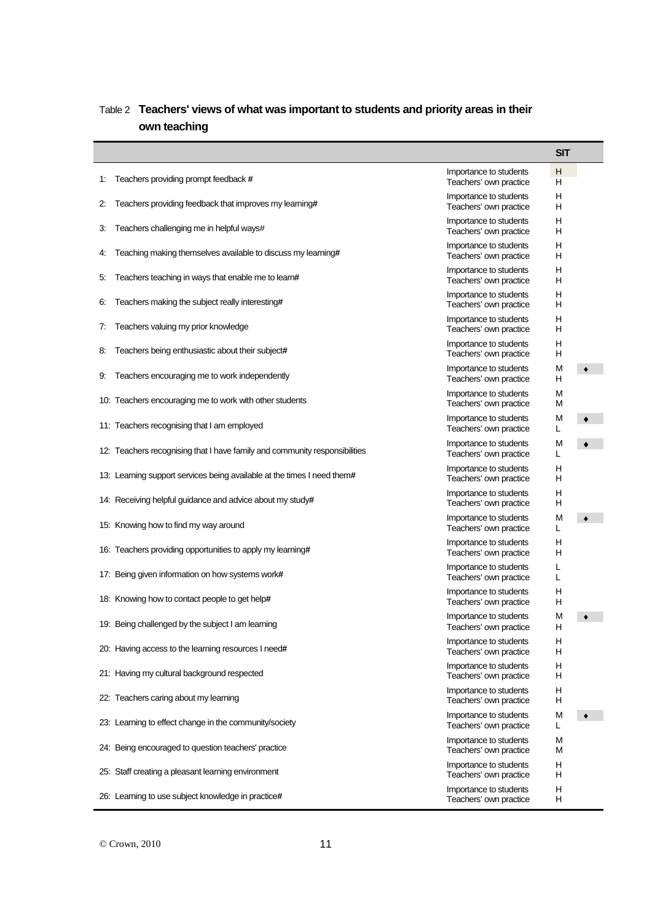|    |                                                                            |                                                  | <b>SIT</b> |   |
|----|----------------------------------------------------------------------------|--------------------------------------------------|------------|---|
| 1: | Teachers providing prompt feedback #                                       | Importance to students<br>Teachers' own practice | н<br>н     |   |
| 2: | Teachers providing feedback that improves my learning#                     | Importance to students<br>Teachers' own practice | н<br>н     |   |
| 3. | Teachers challenging me in helpful ways#                                   | Importance to students<br>Teachers' own practice | н<br>н     |   |
| 4: | Teaching making themselves available to discuss my learning#               | Importance to students<br>Teachers' own practice | н<br>н     |   |
| 5. | Teachers teaching in ways that enable me to learn#                         | Importance to students<br>Teachers' own practice | н<br>н     |   |
| 6. | Teachers making the subject really interesting#                            | Importance to students<br>Teachers' own practice | н<br>н     |   |
| 7: | Teachers valuing my prior knowledge                                        | Importance to students<br>Teachers' own practice | н<br>н     |   |
| 8. | Teachers being enthusiastic about their subject#                           | Importance to students<br>Teachers' own practice | н<br>н     |   |
| 9. | Teachers encouraging me to work independently                              | Importance to students<br>Teachers' own practice | M<br>н     |   |
|    | 10: Teachers encouraging me to work with other students                    | Importance to students<br>Teachers' own practice | M<br>M     |   |
|    | 11: Teachers recognising that I am employed                                | Importance to students<br>Teachers' own practice | M<br>L     |   |
|    | 12. Teachers recognising that I have family and community responsibilities | Importance to students<br>Teachers' own practice | M<br>L     |   |
|    | 13. Learning support services being available at the times I need them#    | Importance to students<br>Teachers' own practice | н<br>н     |   |
|    | 14. Receiving helpful guidance and advice about my study#                  | Importance to students<br>Teachers' own practice | н<br>н     |   |
|    | 15: Knowing how to find my way around                                      | Importance to students<br>Teachers' own practice | M<br>L     |   |
|    | 16: Teachers providing opportunities to apply my learning#                 | Importance to students<br>Teachers' own practice | н<br>н     |   |
|    | 17: Being given information on how systems work#                           | Importance to students<br>Teachers' own practice | L<br>L     |   |
|    | 18: Knowing how to contact people to get help#                             | Importance to students<br>Teachers' own practice | Н<br>н     |   |
|    | 19: Being challenged by the subject I am learning                          | Importance to students<br>Teachers' own practice | M<br>н     |   |
|    | 20: Having access to the learning resources I need#                        | Importance to students<br>Teachers' own practice | H<br>н     |   |
|    | 21: Having my cultural background respected                                | Importance to students<br>Teachers' own practice | н<br>н     |   |
|    | 22. Teachers caring about my learning                                      | Importance to students<br>Teachers' own practice | н<br>н     |   |
|    | 23. Learning to effect change in the community/society                     | Importance to students<br>Teachers' own practice | M<br>L     | ٠ |
|    | 24: Being encouraged to question teachers' practice                        | Importance to students<br>Teachers' own practice | M<br>M     |   |
|    | 25: Staff creating a pleasant learning environment                         | Importance to students<br>Teachers' own practice | н<br>н     |   |
|    | 26: Learning to use subject knowledge in practice#                         | Importance to students<br>Teachers' own practice | н<br>н     |   |

## Table 2 **Teachers' views of what was important to students and priority areas in their own teaching**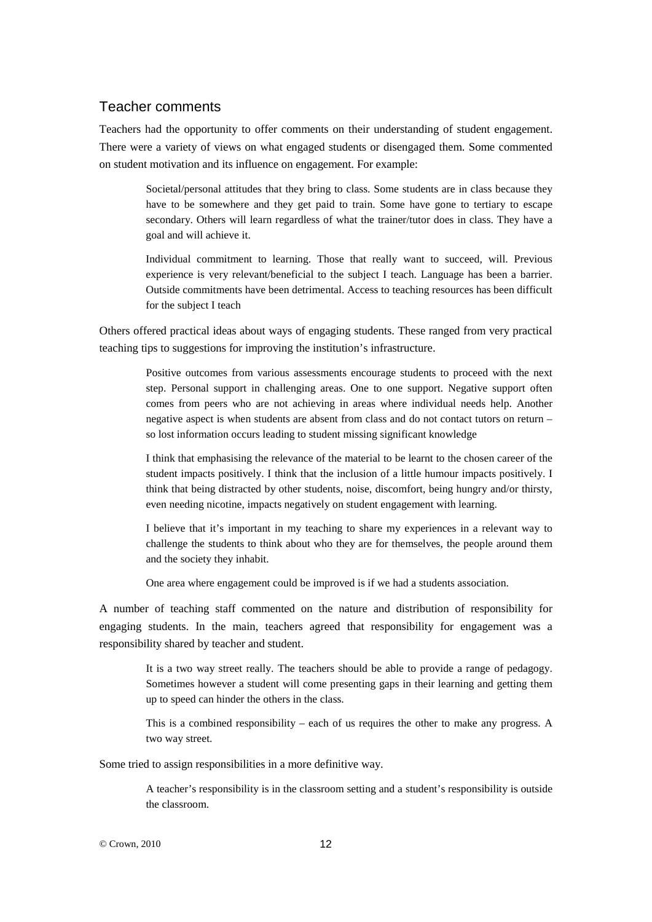#### Teacher comments

Teachers had the opportunity to offer comments on their understanding of student engagement. There were a variety of views on what engaged students or disengaged them. Some commented on student motivation and its influence on engagement. For example:

> Societal/personal attitudes that they bring to class. Some students are in class because they have to be somewhere and they get paid to train. Some have gone to tertiary to escape secondary. Others will learn regardless of what the trainer/tutor does in class. They have a goal and will achieve it.

> Individual commitment to learning. Those that really want to succeed, will. Previous experience is very relevant/beneficial to the subject I teach. Language has been a barrier. Outside commitments have been detrimental. Access to teaching resources has been difficult for the subject I teach

Others offered practical ideas about ways of engaging students. These ranged from very practical teaching tips to suggestions for improving the institution's infrastructure.

> Positive outcomes from various assessments encourage students to proceed with the next step. Personal support in challenging areas. One to one support. Negative support often comes from peers who are not achieving in areas where individual needs help. Another negative aspect is when students are absent from class and do not contact tutors on return – so lost information occurs leading to student missing significant knowledge

> I think that emphasising the relevance of the material to be learnt to the chosen career of the student impacts positively. I think that the inclusion of a little humour impacts positively. I think that being distracted by other students, noise, discomfort, being hungry and/or thirsty, even needing nicotine, impacts negatively on student engagement with learning.

> I believe that it's important in my teaching to share my experiences in a relevant way to challenge the students to think about who they are for themselves, the people around them and the society they inhabit.

One area where engagement could be improved is if we had a students association.

A number of teaching staff commented on the nature and distribution of responsibility for engaging students. In the main, teachers agreed that responsibility for engagement was a responsibility shared by teacher and student.

> It is a two way street really. The teachers should be able to provide a range of pedagogy. Sometimes however a student will come presenting gaps in their learning and getting them up to speed can hinder the others in the class.

> This is a combined responsibility – each of us requires the other to make any progress. A two way street.

Some tried to assign responsibilities in a more definitive way.

A teacher's responsibility is in the classroom setting and a student's responsibility is outside the classroom.

© Crown, 2010 12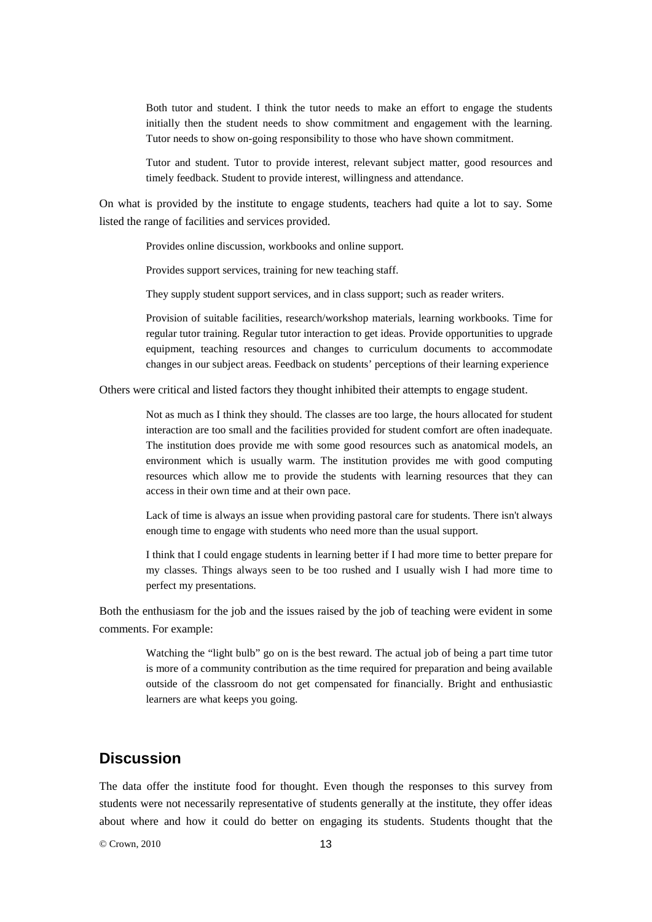Both tutor and student. I think the tutor needs to make an effort to engage the students initially then the student needs to show commitment and engagement with the learning. Tutor needs to show on-going responsibility to those who have shown commitment.

Tutor and student. Tutor to provide interest, relevant subject matter, good resources and timely feedback. Student to provide interest, willingness and attendance.

On what is provided by the institute to engage students, teachers had quite a lot to say. Some listed the range of facilities and services provided.

Provides online discussion, workbooks and online support.

Provides support services, training for new teaching staff.

They supply student support services, and in class support; such as reader writers.

Provision of suitable facilities, research/workshop materials, learning workbooks. Time for regular tutor training. Regular tutor interaction to get ideas. Provide opportunities to upgrade equipment, teaching resources and changes to curriculum documents to accommodate changes in our subject areas. Feedback on students' perceptions of their learning experience

Others were critical and listed factors they thought inhibited their attempts to engage student.

Not as much as I think they should. The classes are too large, the hours allocated for student interaction are too small and the facilities provided for student comfort are often inadequate. The institution does provide me with some good resources such as anatomical models, an environment which is usually warm. The institution provides me with good computing resources which allow me to provide the students with learning resources that they can access in their own time and at their own pace.

Lack of time is always an issue when providing pastoral care for students. There isn't always enough time to engage with students who need more than the usual support.

I think that I could engage students in learning better if I had more time to better prepare for my classes. Things always seen to be too rushed and I usually wish I had more time to perfect my presentations.

Both the enthusiasm for the job and the issues raised by the job of teaching were evident in some comments. For example:

> Watching the "light bulb" go on is the best reward. The actual job of being a part time tutor is more of a community contribution as the time required for preparation and being available outside of the classroom do not get compensated for financially. Bright and enthusiastic learners are what keeps you going.

## **Discussion**

The data offer the institute food for thought. Even though the responses to this survey from students were not necessarily representative of students generally at the institute, they offer ideas about where and how it could do better on engaging its students. Students thought that the

 $© Crown 2010$  13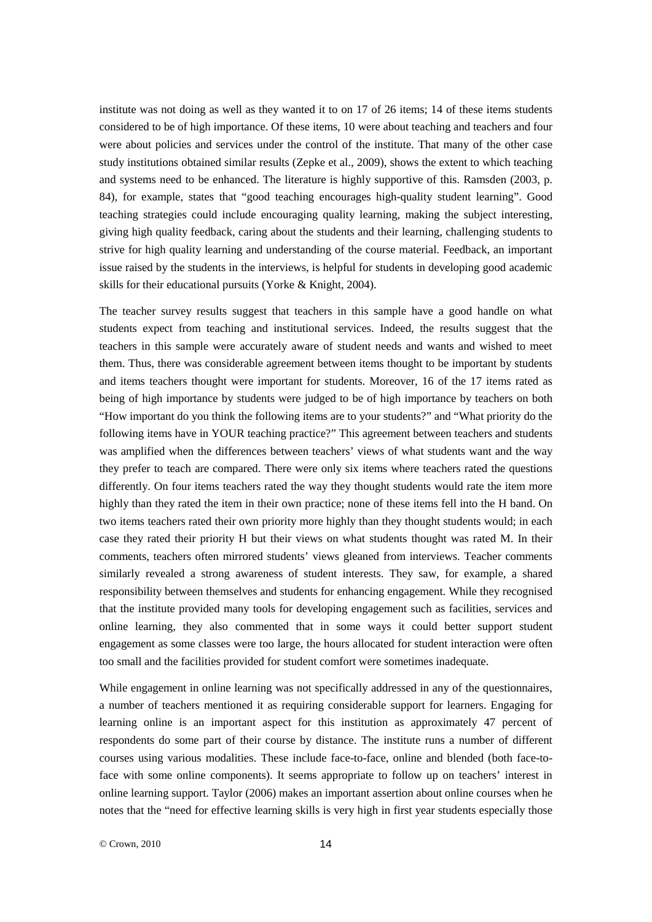institute was not doing as well as they wanted it to on 17 of 26 items; 14 of these items students considered to be of high importance. Of these items, 10 were about teaching and teachers and four were about policies and services under the control of the institute. That many of the other case study institutions obtained similar results (Zepke et al., 2009), shows the extent to which teaching and systems need to be enhanced. The literature is highly supportive of this. Ramsden (2003, p. 84), for example, states that "good teaching encourages high-quality student learning". Good teaching strategies could include encouraging quality learning, making the subject interesting, giving high quality feedback, caring about the students and their learning, challenging students to strive for high quality learning and understanding of the course material. Feedback, an important issue raised by the students in the interviews, is helpful for students in developing good academic skills for their educational pursuits (Yorke & Knight, 2004).

The teacher survey results suggest that teachers in this sample have a good handle on what students expect from teaching and institutional services. Indeed, the results suggest that the teachers in this sample were accurately aware of student needs and wants and wished to meet them. Thus, there was considerable agreement between items thought to be important by students and items teachers thought were important for students. Moreover, 16 of the 17 items rated as being of high importance by students were judged to be of high importance by teachers on both "How important do you think the following items are to your students?" and "What priority do the following items have in YOUR teaching practice?" This agreement between teachers and students was amplified when the differences between teachers' views of what students want and the way they prefer to teach are compared. There were only six items where teachers rated the questions differently. On four items teachers rated the way they thought students would rate the item more highly than they rated the item in their own practice; none of these items fell into the H band. On two items teachers rated their own priority more highly than they thought students would; in each case they rated their priority H but their views on what students thought was rated M. In their comments, teachers often mirrored students' views gleaned from interviews. Teacher comments similarly revealed a strong awareness of student interests. They saw, for example, a shared responsibility between themselves and students for enhancing engagement. While they recognised that the institute provided many tools for developing engagement such as facilities, services and online learning, they also commented that in some ways it could better support student engagement as some classes were too large, the hours allocated for student interaction were often too small and the facilities provided for student comfort were sometimes inadequate.

While engagement in online learning was not specifically addressed in any of the questionnaires, a number of teachers mentioned it as requiring considerable support for learners. Engaging for learning online is an important aspect for this institution as approximately 47 percent of respondents do some part of their course by distance. The institute runs a number of different courses using various modalities. These include face-to-face, online and blended (both face-toface with some online components). It seems appropriate to follow up on teachers' interest in online learning support. Taylor (2006) makes an important assertion about online courses when he notes that the "need for effective learning skills is very high in first year students especially those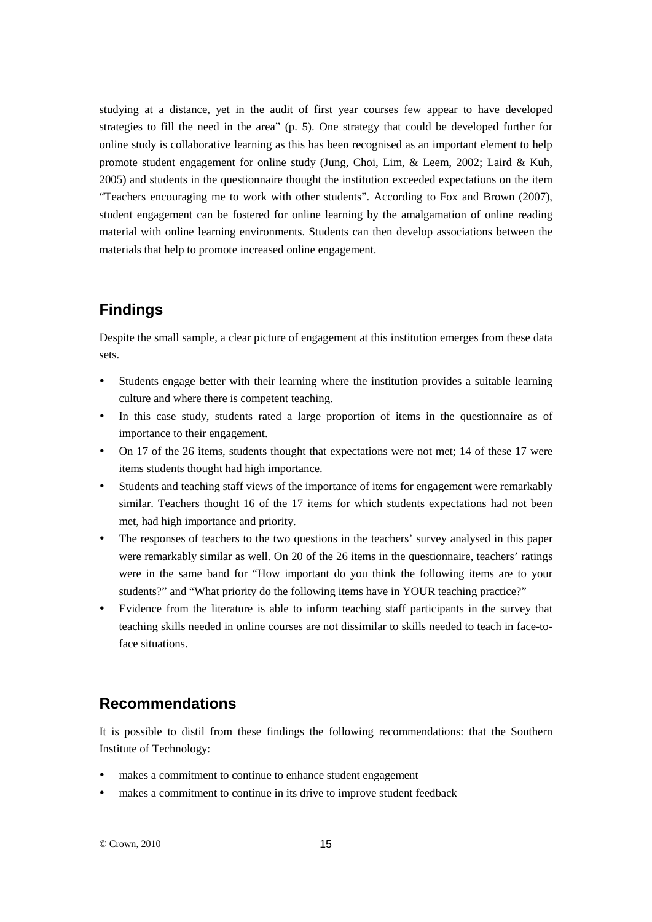studying at a distance, yet in the audit of first year courses few appear to have developed strategies to fill the need in the area" (p. 5). One strategy that could be developed further for online study is collaborative learning as this has been recognised as an important element to help promote student engagement for online study (Jung, Choi, Lim, & Leem, 2002; Laird & Kuh, 2005) and students in the questionnaire thought the institution exceeded expectations on the item "Teachers encouraging me to work with other students". According to Fox and Brown (2007), student engagement can be fostered for online learning by the amalgamation of online reading material with online learning environments. Students can then develop associations between the materials that help to promote increased online engagement.

## **Findings**

Despite the small sample, a clear picture of engagement at this institution emerges from these data sets.

- Students engage better with their learning where the institution provides a suitable learning culture and where there is competent teaching.
- In this case study, students rated a large proportion of items in the questionnaire as of importance to their engagement.
- On 17 of the 26 items, students thought that expectations were not met; 14 of these 17 were items students thought had high importance.
- Students and teaching staff views of the importance of items for engagement were remarkably similar. Teachers thought 16 of the 17 items for which students expectations had not been met, had high importance and priority.
- The responses of teachers to the two questions in the teachers' survey analysed in this paper were remarkably similar as well. On 20 of the 26 items in the questionnaire, teachers' ratings were in the same band for "How important do you think the following items are to your students?" and "What priority do the following items have in YOUR teaching practice?"
- Evidence from the literature is able to inform teaching staff participants in the survey that teaching skills needed in online courses are not dissimilar to skills needed to teach in face-toface situations.

## **Recommendations**

It is possible to distil from these findings the following recommendations: that the Southern Institute of Technology:

- makes a commitment to continue to enhance student engagement
- makes a commitment to continue in its drive to improve student feedback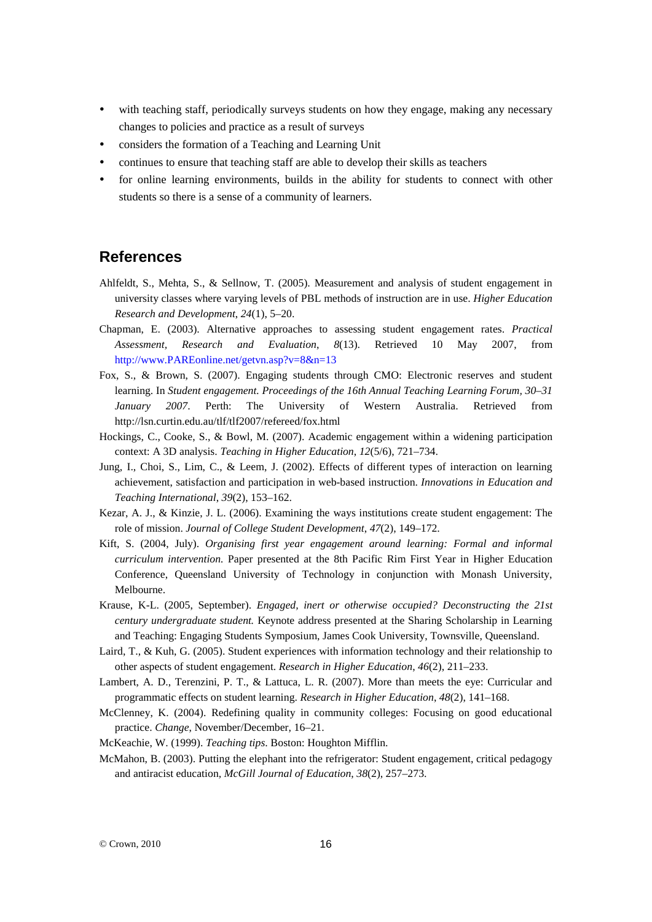- with teaching staff, periodically surveys students on how they engage, making any necessary changes to policies and practice as a result of surveys
- considers the formation of a Teaching and Learning Unit
- continues to ensure that teaching staff are able to develop their skills as teachers
- for online learning environments, builds in the ability for students to connect with other students so there is a sense of a community of learners.

#### **References**

- Ahlfeldt, S., Mehta, S., & Sellnow, T. (2005). Measurement and analysis of student engagement in university classes where varying levels of PBL methods of instruction are in use. *Higher Education Research and Development*, *24*(1), 5–20.
- Chapman, E. (2003). Alternative approaches to assessing student engagement rates. *Practical Assessment, Research and Evaluation*, *8*(13). Retrieved 10 May 2007, from [http://www.PAREonline.net/getvn.asp?v=8&n=13](http://www.pareonline.net/getvn.asp?v=8&n=13)
- Fox, S., & Brown, S. (2007). Engaging students through CMO: Electronic reserves and student learning. In *Student engagement. Proceedings of the 16th Annual Teaching Learning Forum, 30–31 January 2007*. Perth: The University of Western Australia. Retrieved from <http://lsn.curtin.edu.au/tlf/tlf2007/refereed/fox.html>
- Hockings, C., Cooke, S., & Bowl, M. (2007). Academic engagement within a widening participation context: A 3D analysis. *Teaching in Higher Education*, *12*(5/6), 721–734.
- Jung, I., Choi, S., Lim, C., & Leem, J. (2002). Effects of different types of interaction on learning achievement, satisfaction and participation in web-based instruction. *Innovations in Education and Teaching International*, *39*(2), 153–162.
- Kezar, A. J., & Kinzie, J. L. (2006). Examining the ways institutions create student engagement: The role of mission. *Journal of College Student Development*, *47*(2), 149–172.
- Kift, S. (2004, July). *Organising first year engagement around learning: Formal and informal curriculum intervention.* Paper presented at the 8th Pacific Rim First Year in Higher Education Conference, Queensland University of Technology in conjunction with Monash University, Melbourne.
- Krause, K-L. (2005, September). *Engaged, inert or otherwise occupied? Deconstructing the 21st century undergraduate student.* Keynote address presented at the Sharing Scholarship in Learning and Teaching: Engaging Students Symposium, James Cook University, Townsville, Queensland.
- Laird, T., & Kuh, G. (2005). Student experiences with information technology and their relationship to other aspects of student engagement. *Research in Higher Education*, *46*(2), 211–233.
- Lambert, A. D., Terenzini, P. T., & Lattuca, L. R. (2007). More than meets the eye: Curricular and programmatic effects on student learning. *Research in Higher Education*, *48*(2), 141–168.
- McClenney, K. (2004). Redefining quality in community colleges: Focusing on good educational practice. *Change*, November/December, 16–21.
- McKeachie, W. (1999). *Teaching tips*. Boston: Houghton Mifflin.
- McMahon, B. (2003). Putting the elephant into the refrigerator: Student engagement, critical pedagogy and antiracist education*, McGill Journal of Education*, *38*(2), 257–273.